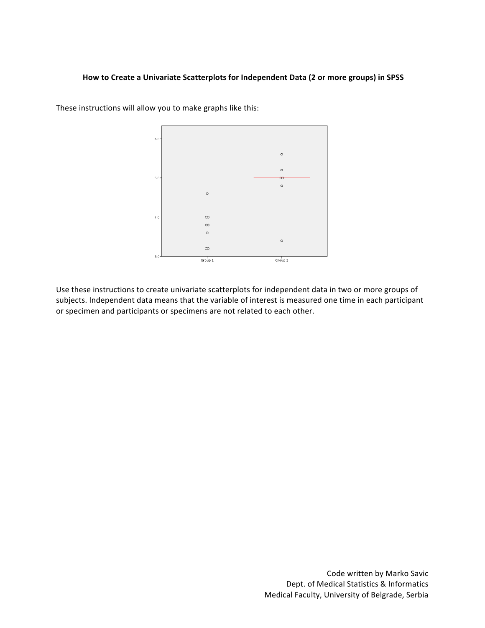## How to Create a Univariate Scatterplots for Independent Data (2 or more groups) in SPSS



These instructions will allow you to make graphs like this:

Use these instructions to create univariate scatterplots for independent data in two or more groups of subjects. Independent data means that the variable of interest is measured one time in each participant or specimen and participants or specimens are not related to each other.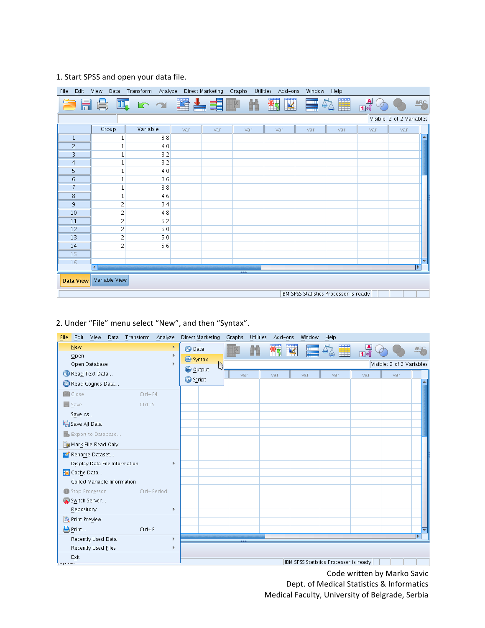# 1. Start SPSS and open your data file.

| Edit<br><b>File</b>                    | View<br>Data         | <b>Transform</b><br>Analyze |                    | Direct Marketing | Graphs<br>Utilities | Add-ons | Window                  | Help |                |                           |     |
|----------------------------------------|----------------------|-----------------------------|--------------------|------------------|---------------------|---------|-------------------------|------|----------------|---------------------------|-----|
|                                        | $\Box$               | RN                          | $\frac{1}{2}$<br>瓂 | ح                | $\mu$               | ¥<br>羳  | <b>Head</b><br>$\Delta$ | Ŧ    | $\frac{A}{14}$ |                           | ABC |
|                                        |                      |                             |                    |                  |                     |         |                         |      |                | Visible: 2 of 2 Variables |     |
|                                        | Group                | Variable                    | var                | var              | var                 | var     | var                     | var  | var            | var                       |     |
| $\mathbf{1}$                           |                      | 3.8                         |                    |                  |                     |         |                         |      |                |                           |     |
| $\overline{c}$                         |                      | 4.0                         |                    |                  |                     |         |                         |      |                |                           |     |
| 3                                      |                      | 3.2                         |                    |                  |                     |         |                         |      |                |                           |     |
| $\overline{4}$                         |                      | 3.2                         |                    |                  |                     |         |                         |      |                |                           |     |
| 5                                      |                      | 4.0                         |                    |                  |                     |         |                         |      |                |                           |     |
| 6                                      |                      | 3.6                         |                    |                  |                     |         |                         |      |                |                           |     |
| 7                                      |                      | 3.8                         |                    |                  |                     |         |                         |      |                |                           |     |
| 8                                      |                      | 4.6                         |                    |                  |                     |         |                         |      |                |                           |     |
| 9                                      | 2                    | 3.4                         |                    |                  |                     |         |                         |      |                |                           |     |
| 10                                     | 2                    | 4.8                         |                    |                  |                     |         |                         |      |                |                           |     |
| 11                                     | $\overline{c}$       | 5.2                         |                    |                  |                     |         |                         |      |                |                           |     |
| 12                                     | $\overline{c}$       | 5.0                         |                    |                  |                     |         |                         |      |                |                           |     |
| 13                                     | $\overline{c}$       | 5.0                         |                    |                  |                     |         |                         |      |                |                           |     |
| 14                                     | $\overline{c}$       | 5.6                         |                    |                  |                     |         |                         |      |                |                           |     |
| 15                                     |                      |                             |                    |                  |                     |         |                         |      |                |                           |     |
| 16                                     | $\blacktriangleleft$ |                             |                    |                  |                     |         |                         |      |                |                           | ь   |
|                                        |                      |                             |                    |                  |                     |         |                         |      |                |                           |     |
| <b>Data View</b>                       | Variable View        |                             |                    |                  |                     |         |                         |      |                |                           |     |
| IBM SPSS Statistics Processor is ready |                      |                             |                    |                  |                     |         |                         |      |                |                           |     |

# 2. Under "File" menu select "New", and then "Syntax".

| Edit<br>View<br>Data Transform<br>Analyze<br>File | Direct Marketing<br>Graphs<br>Utilities<br>Add-ons<br>Window<br>Help       |  |
|---------------------------------------------------|----------------------------------------------------------------------------|--|
| New<br>Open                                       | ¥<br>∰<br>$\frac{A}{14}$<br><b>ABC</b><br><b>Data</b><br>E<br>卒成<br>Syntax |  |
| Open Database                                     | Visible: 2 of 2 Variables<br>▷<br>C Output                                 |  |
| B Read Text Data                                  | var<br>var<br>var<br>var<br>var<br>var                                     |  |
| Read Cognos Data                                  | Script                                                                     |  |
| <b>N</b> Close<br>$Ctrl + F4$                     |                                                                            |  |
| Save<br>$Ctrl + S$                                |                                                                            |  |
| Save As                                           |                                                                            |  |
| Save All Data                                     |                                                                            |  |
| Export to Database                                |                                                                            |  |
| Mark File Read Only                               |                                                                            |  |
| Rename Dataset                                    |                                                                            |  |
| Display Data File Information                     |                                                                            |  |
| Cache Data                                        |                                                                            |  |
| Collect Variable Information                      |                                                                            |  |
| Stop Processor<br>Ctrl+Period                     |                                                                            |  |
| Switch Server                                     |                                                                            |  |
| Repository<br>ь                                   |                                                                            |  |
| Print Preview                                     |                                                                            |  |
| Print<br>$Ctrl + P$                               |                                                                            |  |
| Recently Used Data                                |                                                                            |  |
| Recently Used Files                               |                                                                            |  |
| Exit<br><b>Pyrrum</b>                             | IBM SPSS Statistics Processor is ready                                     |  |

Code written by Marko Savic Dept. of Medical Statistics & Informatics Medical Faculty, University of Belgrade, Serbia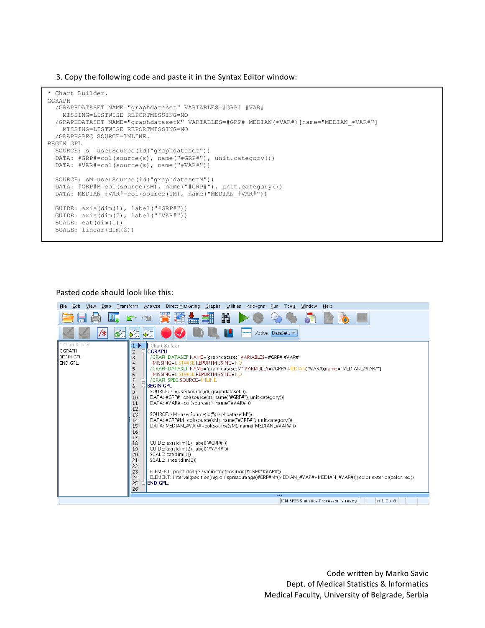3. Copy the following code and paste it in the Syntax Editor window:

```
* Chart Builder.
GGRAPH
   /GRAPHDATASET NAME="graphdataset" VARIABLES=#GRP# #VAR#
    MISSING=LISTWISE REPORTMISSING=NO
   /GRAPHDATASET NAME="graphdatasetM" VARIABLES=#GRP# MEDIAN(#VAR#)[name="MEDIAN_#VAR#"] 
    MISSING=LISTWISE REPORTMISSING=NO
   /GRAPHSPEC SOURCE=INLINE.
BEGIN GPL
  SOURCE: s =userSource(id("graphdataset"))
  DATA: #GRP#=col(source(s), name("#GRP#"), unit.category())
  DATA: #VAR#=col(source(s), name("#VAR#"))
   SOURCE: sM=userSource(id("graphdatasetM"))
   DATA: #GRP#M=col(source(sM), name("#GRP#"), unit.category())
 DATA: MEDIAN #VAR#=col(source(sM), name("MEDIAN #VAR#"))
   GUIDE: axis(dim(1), label("#GRP#"))
  GUIDE: axis(dim(2), label("#VAR#"))
   SCALE: cat(dim(1))
   SCALE: linear(dim(2))
```
#### Pasted code should look like this:

 $\mathcal{L}(\mathcal{L})=\mathcal{L}(\mathcal{L})$  , point.dodge.symmetric (point.domge.symmetric).

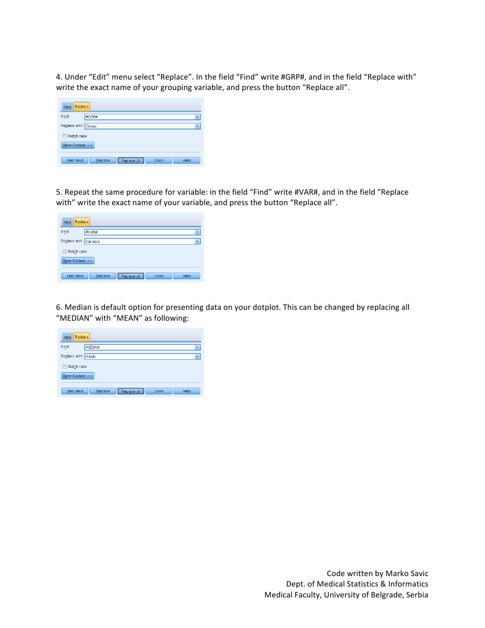4. Under "Edit" menu select "Replace". In the field "Find" write #GRP#, and in the field "Replace with" write the exact name of your grouping variable, and press the button "Replace all".

| Replace<br>Find     |                                              |                         |  |  |
|---------------------|----------------------------------------------|-------------------------|--|--|
| Find:               | #GRP#                                        | $\overline{\mathbf{v}}$ |  |  |
| Replace with: Group |                                              | ۳                       |  |  |
| Match case<br>F     |                                              |                         |  |  |
| Show Options >>     |                                              |                         |  |  |
| <b>Find Next</b>    | Replace<br>Replace All<br>Help<br>Close<br>H |                         |  |  |

5. Repeat the same procedure for variable: in the field "Find" write #VAR#, and in the field "Replace with" write the exact name of your variable, and press the button "Replace all".

| Replace<br>Find        |                                               |  |  |  |
|------------------------|-----------------------------------------------|--|--|--|
| Find:                  | #VAR#<br>۳                                    |  |  |  |
| Replace with: Variable | ۳                                             |  |  |  |
| Match case<br>F        |                                               |  |  |  |
| Show Options >>        |                                               |  |  |  |
| <b>Find Next</b>       | Replace All<br>Replace<br>Close<br>Help<br>H. |  |  |  |

6. Median is default option for presenting data on your dotplot. This can be changed by replacing all "MEDIAN" with "MEAN" as following:

| Replace<br>Find    |                                         |                          |  |  |  |  |
|--------------------|-----------------------------------------|--------------------------|--|--|--|--|
| Find:              | MEDIAN                                  | $\overline{\mathbf{v}}$  |  |  |  |  |
| Replace with: MEAN |                                         | $\overline{\phantom{a}}$ |  |  |  |  |
| Match case<br>U    |                                         |                          |  |  |  |  |
| Show Options >>    |                                         |                          |  |  |  |  |
|                    |                                         |                          |  |  |  |  |
| <b>Find Next</b>   | Replace All<br>Replace<br>Help<br>Close |                          |  |  |  |  |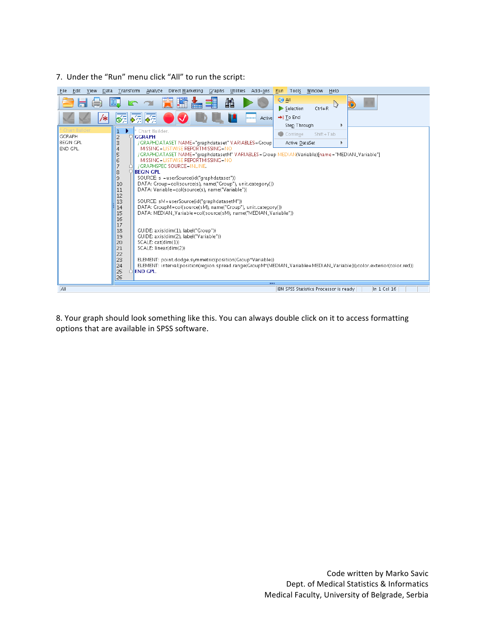### 7. Under the "Run" menu click "All" to run the script:



8. Your graph should look something like this. You can always double click on it to access formatting options that are available in SPSS software.